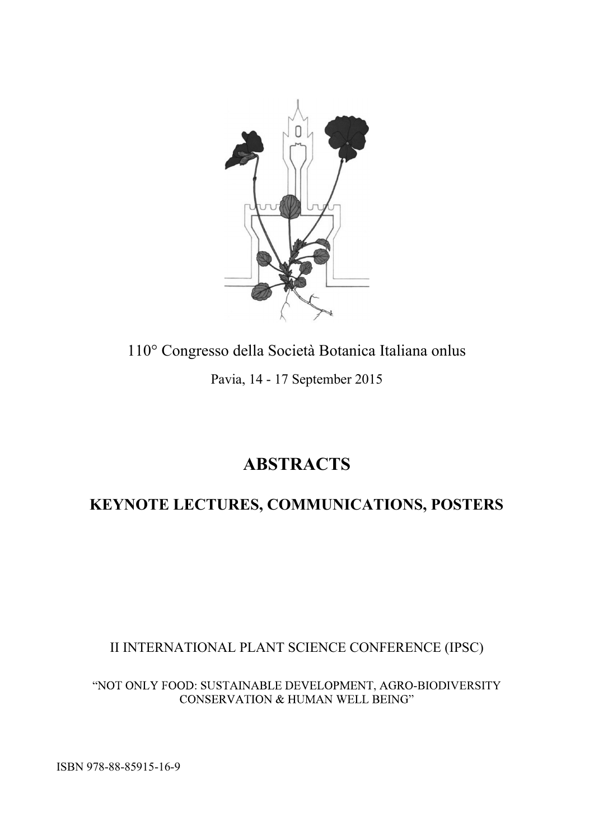

110° Congresso della Società Botanica Italiana onlus Pavia, 14 - 17 September 2015

## **ABSTRACTS**

## **KEYNOTE LECTURES, COMMUNICATIONS, POSTERS**

II INTERNATIONAL PLANT SCIENCE CONFERENCE (IPSC)

"NOT ONLY FOOD: SUSTAINABLE DEVELOPMENT, AGRO-BIODIVERSITY CONSERVATION & HUMAN WELL BEING"

ISBN 978-88-85915-16-9